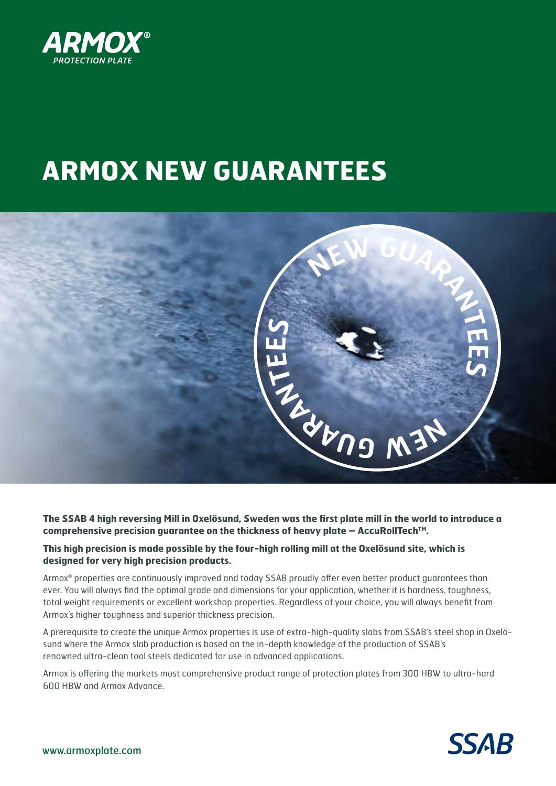

# **ARMOX NEW GUARANTEES**



**The SSAB 4 high reversing Mill in Oxelösund, Sweden was the first plate mill in the world to introduce a comprehensive precision guarantee on the thickness of heavy plate – AccuRollTechTM.** 

## **This high precision is made possible by the four-high rolling mill at the Oxelösund site, which is designed for very high precision products.**

Armox® properties are continuously improved and today SSAB proudly offer even better product guarantees than ever. You will always find the optimal grade and dimensions for your application, whether it is hardness, toughness, total weight requirements or excellent workshop properties. Regardless of your choice, you will always benefit from Armox's higher toughness and superior thickness precision.

A prerequisite to create the unique Armox properties is use of extra-high-quality slabs from SSAB's steel shop in Oxelösund where the Armox slab production is based on the in-depth knowledge of the production of SSAB's renowned ultra-clean tool steels dedicated for use in advanced applications.

Armox is offering the markets most comprehensive product range of protection plates from 300 HBW to ultra-hard 600 HBW and Armox Advance.